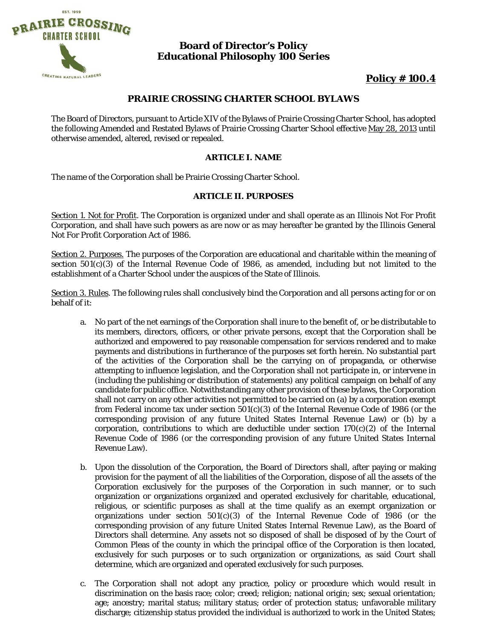

# **Board of Director's Policy Educational Philosophy 100 Series**

# **Policy # 100.4**

# **PRAIRIE CROSSING CHARTER SCHOOL BYLAWS**

The Board of Directors, pursuant to Article XIV of the Bylaws of Prairie Crossing Charter School, has adopted the following Amended and Restated Bylaws of Prairie Crossing Charter School effective May 28, 2013 until otherwise amended, altered, revised or repealed.

# **ARTICLE I. NAME**

The name of the Corporation shall be Prairie Crossing Charter School.

# **ARTICLE II. PURPOSES**

Section 1. Not for Profit. The Corporation is organized under and shall operate as an Illinois Not For Profit Corporation, and shall have such powers as are now or as may hereafter be granted by the Illinois General Not For Profit Corporation Act of 1986.

Section 2. Purposes. The purposes of the Corporation are educational and charitable within the meaning of section  $501(c)(3)$  of the Internal Revenue Code of 1986, as amended, including but not limited to the establishment of a Charter School under the auspices of the State of Illinois.

Section 3. Rules. The following rules shall conclusively bind the Corporation and all persons acting for or on behalf of it:

- a. No part of the net earnings of the Corporation shall inure to the benefit of, or be distributable to its members, directors, officers, or other private persons, except that the Corporation shall be authorized and empowered to pay reasonable compensation for services rendered and to make payments and distributions in furtherance of the purposes set forth herein. No substantial part of the activities of the Corporation shall be the carrying on of propaganda, or otherwise attempting to influence legislation, and the Corporation shall not participate in, or intervene in (including the publishing or distribution of statements) any political campaign on behalf of any candidate for public office. Notwithstanding any other provision of these bylaws, the Corporation shall not carry on any other activities not permitted to be carried on (a) by a corporation exempt from Federal income tax under section  $501(c)(3)$  of the Internal Revenue Code of 1986 (or the corresponding provision of any future United States Internal Revenue Law) or (b) by a corporation, contributions to which are deductible under section  $170(c)(2)$  of the Internal Revenue Code of 1986 (or the corresponding provision of any future United States Internal Revenue Law).
- b. Upon the dissolution of the Corporation, the Board of Directors shall, after paying or making provision for the payment of all the liabilities of the Corporation, dispose of all the assets of the Corporation exclusively for the purposes of the Corporation in such manner, or to such organization or organizations organized and operated exclusively for charitable, educational, religious, or scientific purposes as shall at the time qualify as an exempt organization or organizations under section 501(c)(3) of the Internal Revenue Code of 1986 (or the corresponding provision of any future United States Internal Revenue Law), as the Board of Directors shall determine. Any assets not so disposed of shall be disposed of by the Court of Common Pleas of the county in which the principal office of the Corporation is then located, exclusively for such purposes or to such organization or organizations, as said Court shall determine, which are organized and operated exclusively for such purposes.
- c. The Corporation shall not adopt any practice, policy or procedure which would result in discrimination on the basis race; color; creed; religion; national origin; sex; sexual orientation; age; ancestry; marital status; military status; order of protection status; unfavorable military discharge; citizenship status provided the individual is authorized to work in the United States;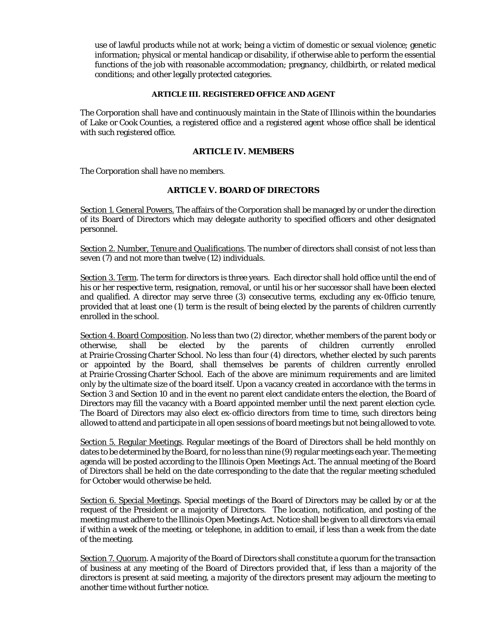use of lawful products while not at work; being a victim of domestic or sexual violence; genetic information; physical or mental handicap or disability, if otherwise able to perform the essential functions of the job with reasonable accommodation; pregnancy, childbirth, or related medical conditions; and other legally protected categories.

#### **ARTICLE III. REGISTERED OFFICE AND AGENT**

The Corporation shall have and continuously maintain in the State of Illinois within the boundaries of Lake or Cook Counties, a registered office and a registered agent whose office shall be identical with such registered office.

# **ARTICLE IV. MEMBERS**

The Corporation shall have no members.

# **ARTICLE V. BOARD OF DIRECTORS**

Section 1. General Powers. The affairs of the Corporation shall be managed by or under the direction of its Board of Directors which may delegate authority to specified officers and other designated personnel.

Section 2. Number, Tenure and Qualifications. The number of directors shall consist of not less than seven (7) and not more than twelve (12) individuals.

Section 3. Term. The term for directors is three years. Each director shall hold office until the end of his or her respective term, resignation, removal, or until his or her successor shall have been elected and qualified. A director may serve three (3) consecutive terms, excluding any ex-0fficio tenure, provided that at least one (1) term is the result of being elected by the parents of children currently enrolled in the school.

Section 4. Board Composition. No less than two (2) director, whether members of the parent body or otherwise, shall be elected by the parents of children currently enrolled at Prairie Crossing Charter School. No less than four (4) directors, whether elected by such parents or appointed by the Board, shall themselves be parents of children currently enrolled at Prairie Crossing Charter School. Each of the above are minimum requirements and are limited only by the ultimate size of the board itself. Upon a vacancy created in accordance with the terms in Section 3 and Section 10 and in the event no parent elect candidate enters the election, the Board of Directors may fill the vacancy with a Board appointed member until the next parent election cycle. The Board of Directors may also elect ex-officio directors from time to time, such directors being allowed to attend and participate in all open sessions of board meetings but not being allowed to vote.

Section 5. Regular Meetings. Regular meetings of the Board of Directors shall be held monthly on dates to be determined by the Board, for no less than nine (9) regular meetings each year. The meeting agenda will be posted according to the Illinois Open Meetings Act. The annual meeting of the Board of Directors shall be held on the date corresponding to the date that the regular meeting scheduled for October would otherwise be held.

Section 6. Special Meetings. Special meetings of the Board of Directors may be called by or at the request of the President or a majority of Directors. The location, notification, and posting of the meeting must adhere to the Illinois Open Meetings Act. Notice shall be given to all directors via email if within a week of the meeting, or telephone, in addition to email, if less than a week from the date of the meeting.

Section 7. Quorum. A majority of the Board of Directors shall constitute a quorum for the transaction of business at any meeting of the Board of Directors provided that, if less than a majority of the directors is present at said meeting, a majority of the directors present may adjourn the meeting to another time without further notice.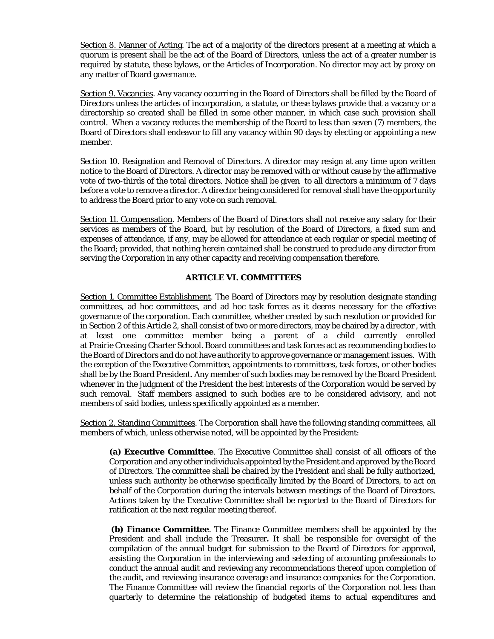Section 8. Manner of Acting. The act of a majority of the directors present at a meeting at which a quorum is present shall be the act of the Board of Directors, unless the act of a greater number is required by statute, these bylaws, or the Articles of Incorporation. No director may act by proxy on any matter of Board governance.

Section 9. Vacancies. Any vacancy occurring in the Board of Directors shall be filled by the Board of Directors unless the articles of incorporation, a statute, or these bylaws provide that a vacancy or a directorship so created shall be filled in some other manner, in which case such provision shall control. When a vacancy reduces the membership of the Board to less than seven (7) members, the Board of Directors shall endeavor to fill any vacancy within 90 days by electing or appointing a new member.

Section 10. Resignation and Removal of Directors. A director may resign at any time upon written notice to the Board of Directors. A director may be removed with or without cause by the affirmative vote of two-thirds of the total directors. Notice shall be given to all directors a minimum of 7 days before a vote to remove a director. A director being considered for removal shall have the opportunity to address the Board prior to any vote on such removal.

Section 11. Compensation. Members of the Board of Directors shall not receive any salary for their services as members of the Board, but by resolution of the Board of Directors, a fixed sum and expenses of attendance, if any, may be allowed for attendance at each regular or special meeting of the Board; provided, that nothing herein contained shall be construed to preclude any director from serving the Corporation in any other capacity and receiving compensation therefore.

# **ARTICLE VI. COMMITTEES**

Section 1. Committee Establishment. The Board of Directors may by resolution designate standing committees, ad hoc committees, and ad hoc task forces as it deems necessary for the effective governance of the corporation. Each committee, whether created by such resolution or provided for in Section 2 of this Article 2, shall consist of two or more directors, may be chaired by a director , with at least one committee member being a parent of a child currently enrolled at Prairie Crossing Charter School. Board committees and task forces act as recommending bodies to the Board of Directors and do not have authority to approve governance or management issues. With the exception of the Executive Committee, appointments to committees, task forces, or other bodies shall be by the Board President. Any member of such bodies may be removed by the Board President whenever in the judgment of the President the best interests of the Corporation would be served by such removal. Staff members assigned to such bodies are to be considered advisory, and not members of said bodies, unless specifically appointed as a member.

Section 2. Standing Committees. The Corporation shall have the following standing committees, all members of which, unless otherwise noted, will be appointed by the President:

**(a) Executive Committee**. The Executive Committee shall consist of all officers of the Corporation and any other individuals appointed by the President and approved by the Board of Directors. The committee shall be chaired by the President and shall be fully authorized, unless such authority be otherwise specifically limited by the Board of Directors, to act on behalf of the Corporation during the intervals between meetings of the Board of Directors. Actions taken by the Executive Committee shall be reported to the Board of Directors for ratification at the next regular meeting thereof.

**(b) Finance Committee**. The Finance Committee members shall be appointed by the President and shall include the Treasurer**.** It shall be responsible for oversight of the compilation of the annual budget for submission to the Board of Directors for approval, assisting the Corporation in the interviewing and selecting of accounting professionals to conduct the annual audit and reviewing any recommendations thereof upon completion of the audit, and reviewing insurance coverage and insurance companies for the Corporation. The Finance Committee will review the financial reports of the Corporation not less than quarterly to determine the relationship of budgeted items to actual expenditures and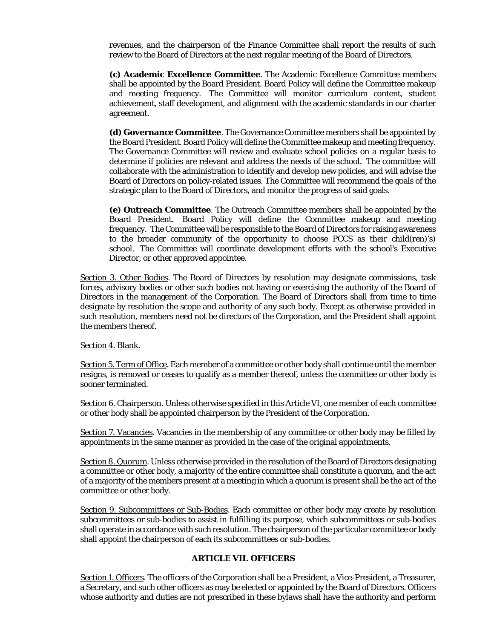revenues, and the chairperson of the Finance Committee shall report the results of such review to the Board of Directors at the next regular meeting of the Board of Directors.

**(c) Academic Excellence Committee**. The Academic Excellence Committee members shall be appointed by the Board President. Board Policy will define the Committee makeup and meeting frequency. The Committee will monitor curriculum content, student achievement, staff development, and alignment with the academic standards in our charter agreement.

**(d) Governance Committee**. The Governance Committee members shall be appointed by the Board President. Board Policy will define the Committee makeup and meeting frequency. The Governance Committee will review and evaluate school policies on a regular basis to determine if policies are relevant and address the needs of the school. The committee will collaborate with the administration to identify and develop new policies, and will advise the Board of Directors on policy-related issues. The Committee will recommend the goals of the strategic plan to the Board of Directors, and monitor the progress of said goals.

**(e) Outreach Committee**. The Outreach Committee members shall be appointed by the Board President. Board Policy will define the Committee makeup and meeting frequency. The Committee will be responsible to the Board of Directors for raising awareness to the broader community of the opportunity to choose PCCS as their child(ren)'s) school. The Committee will coordinate development efforts with the school's Executive Director, or other approved appointee.

Section 3. Other Bodies. The Board of Directors by resolution may designate commissions, task forces, advisory bodies or other such bodies not having or exercising the authority of the Board of Directors in the management of the Corporation. The Board of Directors shall from time to time designate by resolution the scope and authority of any such body. Except as otherwise provided in such resolution, members need not be directors of the Corporation, and the President shall appoint the members thereof.

Section 4. Blank.

Section 5. Term of Office. Each member of a committee or other body shall continue until the member resigns, is removed or ceases to qualify as a member thereof, unless the committee or other body is sooner terminated.

Section 6. Chairperson. Unless otherwise specified in this Article VI, one member of each committee or other body shall be appointed chairperson by the President of the Corporation.

Section 7. Vacancies. Vacancies in the membership of any committee or other body may be filled by appointments in the same manner as provided in the case of the original appointments.

Section 8. Quorum. Unless otherwise provided in the resolution of the Board of Directors designating a committee or other body, a majority of the entire committee shall constitute a quorum, and the act of a majority of the members present at a meeting in which a quorum is present shall be the act of the committee or other body.

Section 9. Subcommittees or Sub-Bodies. Each committee or other body may create by resolution subcommittees or sub-bodies to assist in fulfilling its purpose, which subcommittees or sub-bodies shall operate in accordance with such resolution. The chairperson of the particular committee or body shall appoint the chairperson of each its subcommittees or sub-bodies.

# **ARTICLE VII. OFFICERS**

Section 1. Officers. The officers of the Corporation shall be a President, a Vice-President, a Treasurer, a Secretary, and such other officers as may be elected or appointed by the Board of Directors. Officers whose authority and duties are not prescribed in these bylaws shall have the authority and perform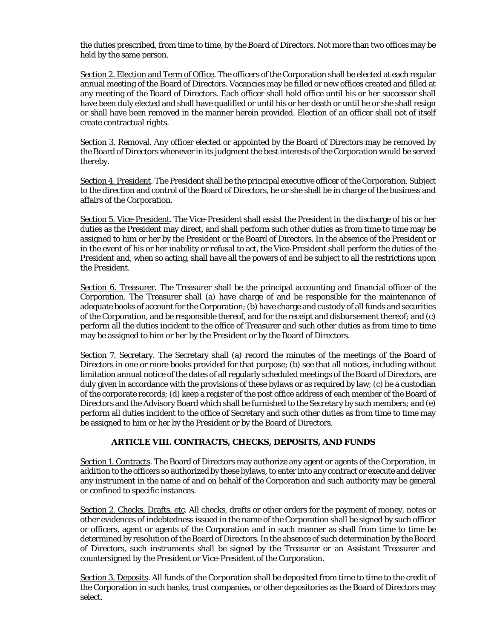the duties prescribed, from time to time, by the Board of Directors. Not more than two offices may be held by the same person.

Section 2. Election and Term of Office. The officers of the Corporation shall be elected at each regular annual meeting of the Board of Directors. Vacancies may be filled or new offices created and filled at any meeting of the Board of Directors. Each officer shall hold office until his or her successor shall have been duly elected and shall have qualified or until his or her death or until he or she shall resign or shall have been removed in the manner herein provided. Election of an officer shall not of itself create contractual rights.

Section 3. Removal. Any officer elected or appointed by the Board of Directors may be removed by the Board of Directors whenever in its judgment the best interests of the Corporation would be served thereby.

Section 4. President. The President shall be the principal executive officer of the Corporation. Subject to the direction and control of the Board of Directors, he or she shall be in charge of the business and affairs of the Corporation.

Section 5. Vice-President. The Vice-President shall assist the President in the discharge of his or her duties as the President may direct, and shall perform such other duties as from time to time may be assigned to him or her by the President or the Board of Directors. In the absence of the President or in the event of his or her inability or refusal to act, the Vice-President shall perform the duties of the President and, when so acting, shall have all the powers of and be subject to all the restrictions upon the President.

Section 6. Treasurer. The Treasurer shall be the principal accounting and financial officer of the Corporation. The Treasurer shall (a) have charge of and be responsible for the maintenance of adequate books of account for the Corporation; (b) have charge and custody of all funds and securities of the Corporation, and be responsible thereof, and for the receipt and disbursement thereof; and (c) perform all the duties incident to the office of Treasurer and such other duties as from time to time may be assigned to him or her by the President or by the Board of Directors.

Section 7. Secretary. The Secretary shall (a) record the minutes of the meetings of the Board of Directors in one or more books provided for that purpose; (b) see that all notices, including without limitation annual notice of the dates of all regularly scheduled meetings of the Board of Directors, are duly given in accordance with the provisions of these bylaws or as required by law; (c) be a custodian of the corporate records; (d) keep a register of the post office address of each member of the Board of Directors and the Advisory Board which shall be furnished to the Secretary by such members; and (e) perform all duties incident to the office of Secretary and such other duties as from time to time may be assigned to him or her by the President or by the Board of Directors.

# **ARTICLE VIII. CONTRACTS, CHECKS, DEPOSITS, AND FUNDS**

Section 1. Contracts. The Board of Directors may authorize any agent or agents of the Corporation, in addition to the officers so authorized by these bylaws, to enter into any contract or execute and deliver any instrument in the name of and on behalf of the Corporation and such authority may be general or confined to specific instances.

Section 2. Checks, Drafts, etc. All checks, drafts or other orders for the payment of money, notes or other evidences of indebtedness issued in the name of the Corporation shall be signed by such officer or officers, agent or agents of the Corporation and in such manner as shall from time to time be determined by resolution of the Board of Directors. In the absence of such determination by the Board of Directors, such instruments shall be signed by the Treasurer or an Assistant Treasurer and countersigned by the President or Vice-President of the Corporation.

Section 3. Deposits. All funds of the Corporation shall be deposited from time to time to the credit of the Corporation in such banks, trust companies, or other depositories as the Board of Directors may select.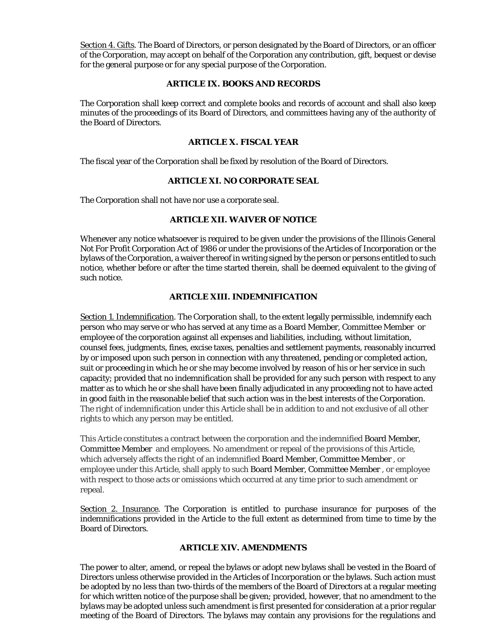Section 4. Gifts. The Board of Directors, or person designated by the Board of Directors, or an officer of the Corporation, may accept on behalf of the Corporation any contribution, gift, bequest or devise for the general purpose or for any special purpose of the Corporation.

# **ARTICLE IX. BOOKS AND RECORDS**

The Corporation shall keep correct and complete books and records of account and shall also keep minutes of the proceedings of its Board of Directors, and committees having any of the authority of the Board of Directors.

# **ARTICLE X. FISCAL YEAR**

The fiscal year of the Corporation shall be fixed by resolution of the Board of Directors.

# **ARTICLE XI. NO CORPORATE SEAL**

The Corporation shall not have nor use a corporate seal.

# **ARTICLE XII. WAIVER OF NOTICE**

Whenever any notice whatsoever is required to be given under the provisions of the Illinois General Not For Profit Corporation Act of 1986 or under the provisions of the Articles of Incorporation or the bylaws of the Corporation, a waiver thereof in writing signed by the person or persons entitled to such notice, whether before or after the time started therein, shall be deemed equivalent to the giving of such notice.

# **ARTICLE XIII. INDEMNIFICATION**

Section 1. Indemnification. The Corporation shall, to the extent legally permissible, indemnify each person who may serve or who has served at any time as a Board Member, Committee Member or employee of the corporation against all expenses and liabilities, including, without limitation, counsel fees, judgments, fines, excise taxes, penalties and settlement payments, reasonably incurred by or imposed upon such person in connection with any threatened, pending or completed action, suit or proceeding in which he or she may become involved by reason of his or her service in such capacity; provided that no indemnification shall be provided for any such person with respect to any matter as to which he or she shall have been finally adjudicated in any proceeding not to have acted in good faith in the reasonable belief that such action was in the best interests of the Corporation. The right of indemnification under this Article shall be in addition to and not exclusive of all other rights to which any person may be entitled.

This Article constitutes a contract between the corporation and the indemnified Board Member, Committee Member and employees. No amendment or repeal of the provisions of this Article, which adversely affects the right of an indemnified Board Member, Committee Member , or employee under this Article, shall apply to such Board Member, Committee Member , or employee with respect to those acts or omissions which occurred at any time prior to such amendment or repeal.

Section 2. Insurance. The Corporation is entitled to purchase insurance for purposes of the indemnifications provided in the Article to the full extent as determined from time to time by the Board of Directors.

# **ARTICLE XIV. AMENDMENTS**

The power to alter, amend, or repeal the bylaws or adopt new bylaws shall be vested in the Board of Directors unless otherwise provided in the Articles of Incorporation or the bylaws. Such action must be adopted by no less than two-thirds of the members of the Board of Directors at a regular meeting for which written notice of the purpose shall be given; provided, however, that no amendment to the bylaws may be adopted unless such amendment is first presented for consideration at a prior regular meeting of the Board of Directors. The bylaws may contain any provisions for the regulations and